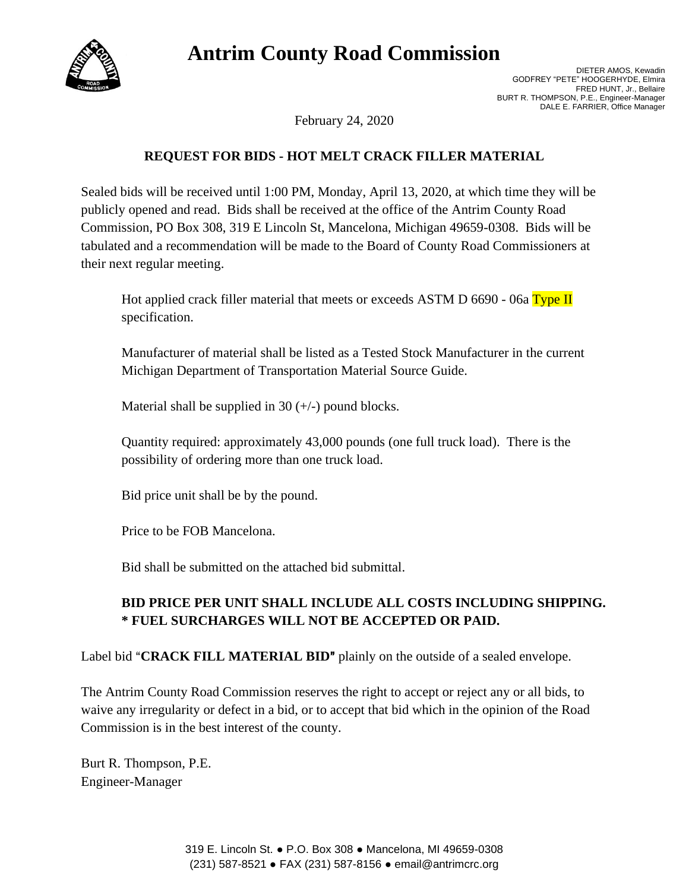# **Antrim County Road Commission**



DIETER AMOS, Kewadin GODFREY "PETE" HOOGERHYDE, Elmira FRED HUNT, Jr., Bellaire BURT R. THOMPSON, P.E., Engineer-Manager DALE E. FARRIER, Office Manager

February 24, 2020

### **REQUEST FOR BIDS - HOT MELT CRACK FILLER MATERIAL**

Sealed bids will be received until 1:00 PM, Monday, April 13, 2020, at which time they will be publicly opened and read. Bids shall be received at the office of the Antrim County Road Commission, PO Box 308, 319 E Lincoln St, Mancelona, Michigan 49659-0308. Bids will be tabulated and a recommendation will be made to the Board of County Road Commissioners at their next regular meeting.

Hot applied crack filler material that meets or exceeds ASTM D  $6690 - 06a$  Type II specification.

Manufacturer of material shall be listed as a Tested Stock Manufacturer in the current Michigan Department of Transportation Material Source Guide.

Material shall be supplied in 30  $(+/-)$  pound blocks.

Quantity required: approximately 43,000 pounds (one full truck load). There is the possibility of ordering more than one truck load.

Bid price unit shall be by the pound.

Price to be FOB Mancelona.

Bid shall be submitted on the attached bid submittal.

## **BID PRICE PER UNIT SHALL INCLUDE ALL COSTS INCLUDING SHIPPING. \* FUEL SURCHARGES WILL NOT BE ACCEPTED OR PAID.**

Label bid "**CRACK FILL MATERIAL BID"** plainly on the outside of a sealed envelope.

The Antrim County Road Commission reserves the right to accept or reject any or all bids, to waive any irregularity or defect in a bid, or to accept that bid which in the opinion of the Road Commission is in the best interest of the county.

Burt R. Thompson, P.E. Engineer-Manager